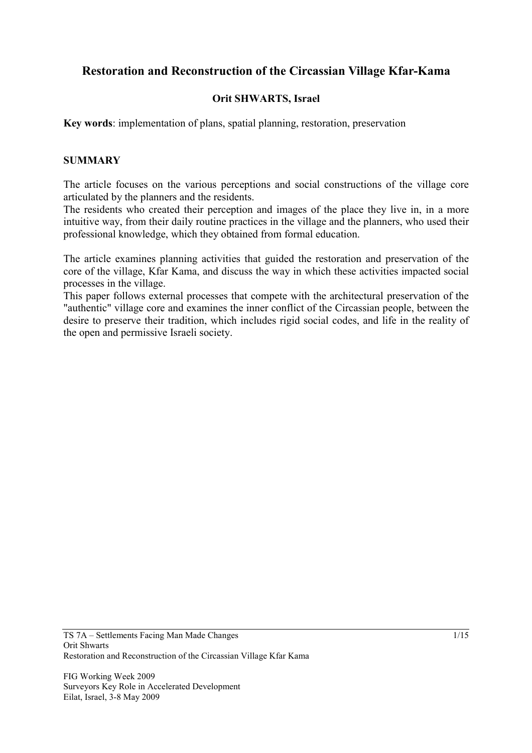# **Restoration and Reconstruction of the Circassian Village Kfar-Kama**

### **Orit SHWARTS, Israel**

**Key words**: implementation of plans, spatial planning, restoration, preservation

#### **SUMMARY**

The article focuses on the various perceptions and social constructions of the village core articulated by the planners and the residents.

The residents who created their perception and images of the place they live in, in a more intuitive way, from their daily routine practices in the village and the planners, who used their professional knowledge, which they obtained from formal education.

The article examines planning activities that guided the restoration and preservation of the core of the village, Kfar Kama, and discuss the way in which these activities impacted social processes in the village.

This paper follows external processes that compete with the architectural preservation of the "authentic" village core and examines the inner conflict of the Circassian people, between the desire to preserve their tradition, which includes rigid social codes, and life in the reality of the open and permissive Israeli society.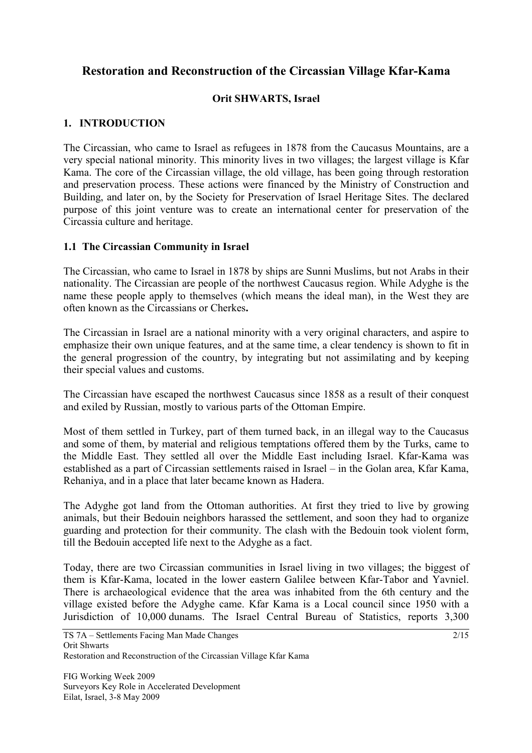# **Restoration and Reconstruction of the Circassian Village Kfar-Kama**

### **Orit SHWARTS, Israel**

### **1. INTRODUCTION**

The Circassian, who came to Israel as refugees in 1878 from the Caucasus Mountains, are a very special national minority. This minority lives in two villages; the largest village is Kfar Kama. The core of the Circassian village, the old village, has been going through restoration and preservation process. These actions were financed by the Ministry of Construction and Building, and later on, by the Society for Preservation of Israel Heritage Sites. The declared purpose of this joint venture was to create an international center for preservation of the Circassia culture and heritage.

#### **1.1 The Circassian Community in Israel**

The Circassian, who came to Israel in 1878 by ships are Sunni Muslims, but not Arabs in their nationality. The Circassian are people of the northwest Caucasus region. While Adyghe is the name these people apply to themselves (which means the ideal man), in the West they are often known as the Circassians or Cherkes**.** 

The Circassian in Israel are a national minority with a very original characters, and aspire to emphasize their own unique features, and at the same time, a clear tendency is shown to fit in the general progression of the country, by integrating but not assimilating and by keeping their special values and customs.

The Circassian have escaped the northwest Caucasus since 1858 as a result of their conquest and exiled by Russian, mostly to various parts of the Ottoman Empire.

Most of them settled in Turkey, part of them turned back, in an illegal way to the Caucasus and some of them, by material and religious temptations offered them by the Turks, came to the Middle East. They settled all over the Middle East including Israel. Kfar-Kama was established as a part of Circassian settlements raised in Israel – in the Golan area, Kfar Kama, Rehaniya, and in a place that later became known as Hadera.

The Adyghe got land from the Ottoman authorities. At first they tried to live by growing animals, but their Bedouin neighbors harassed the settlement, and soon they had to organize guarding and protection for their community. The clash with the Bedouin took violent form, till the Bedouin accepted life next to the Adyghe as a fact.

Today, there are two Circassian communities in Israel living in two villages; the biggest of them is Kfar-Kama, located in the lower eastern Galilee between Kfar-Tabor and Yavniel. There is archaeological evidence that the area was inhabited from the 6th century and the village existed before the Adyghe came. Kfar Kama is a Local council since 1950 with a Jurisdiction of 10,000 dunams. The Israel Central Bureau of Statistics, reports 3,300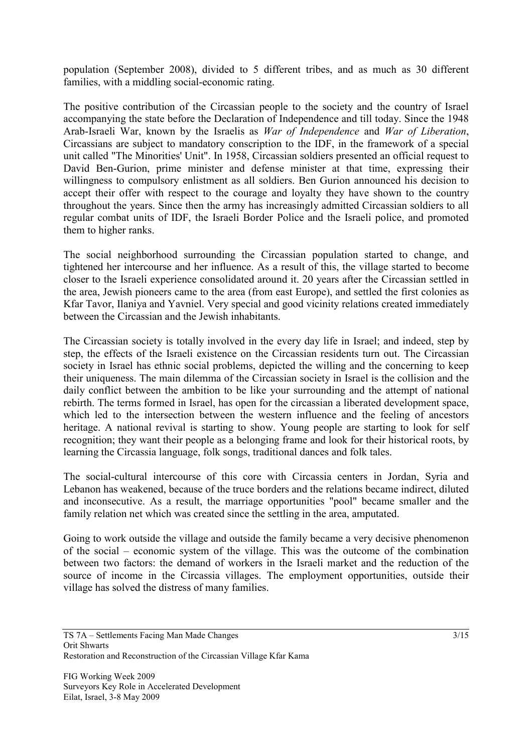population (September 2008), divided to 5 different tribes, and as much as 30 different families, with a middling social-economic rating.

The positive contribution of the Circassian people to the society and the country of Israel accompanying the state before the Declaration of Independence and till today. Since the 1948 Arab-Israeli War, known by the Israelis as *War of Independence* and *War of Liberation*, Circassians are subject to mandatory conscription to the IDF, in the framework of a special unit called "The Minorities' Unit". In 1958, Circassian soldiers presented an official request to David Ben-Gurion, prime minister and defense minister at that time, expressing their willingness to compulsory enlistment as all soldiers. Ben Gurion announced his decision to accept their offer with respect to the courage and loyalty they have shown to the country throughout the years. Since then the army has increasingly admitted Circassian soldiers to all regular combat units of IDF, the Israeli Border Police and the Israeli police, and promoted them to higher ranks.

The social neighborhood surrounding the Circassian population started to change, and tightened her intercourse and her influence. As a result of this, the village started to become closer to the Israeli experience consolidated around it. 20 years after the Circassian settled in the area, Jewish pioneers came to the area (from east Europe), and settled the first colonies as Kfar Tavor, Ilaniya and Yavniel. Very special and good vicinity relations created immediately between the Circassian and the Jewish inhabitants.

The Circassian society is totally involved in the every day life in Israel; and indeed, step by step, the effects of the Israeli existence on the Circassian residents turn out. The Circassian society in Israel has ethnic social problems, depicted the willing and the concerning to keep their uniqueness. The main dilemma of the Circassian society in Israel is the collision and the daily conflict between the ambition to be like your surrounding and the attempt of national rebirth. The terms formed in Israel, has open for the circassian a liberated development space, which led to the intersection between the western influence and the feeling of ancestors heritage. A national revival is starting to show. Young people are starting to look for self recognition; they want their people as a belonging frame and look for their historical roots, by learning the Circassia language, folk songs, traditional dances and folk tales.

The social-cultural intercourse of this core with Circassia centers in Jordan, Syria and Lebanon has weakened, because of the truce borders and the relations became indirect, diluted and inconsecutive. As a result, the marriage opportunities "pool" became smaller and the family relation net which was created since the settling in the area, amputated.

Going to work outside the village and outside the family became a very decisive phenomenon of the social – economic system of the village. This was the outcome of the combination between two factors: the demand of workers in the Israeli market and the reduction of the source of income in the Circassia villages. The employment opportunities, outside their village has solved the distress of many families.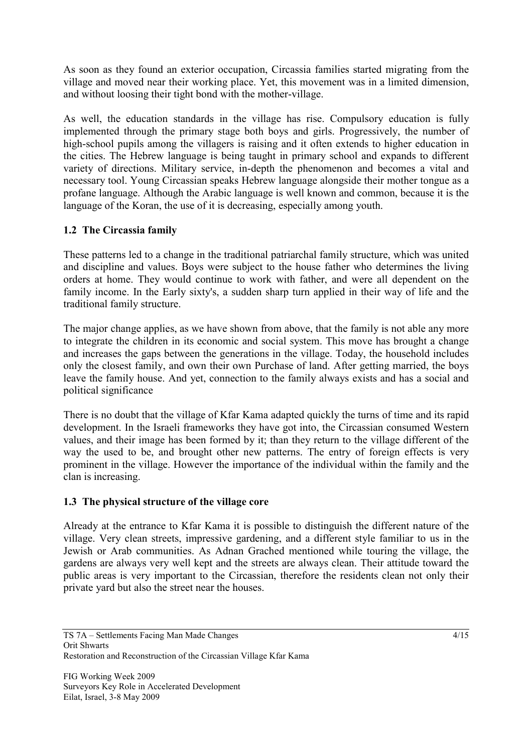As soon as they found an exterior occupation, Circassia families started migrating from the village and moved near their working place. Yet, this movement was in a limited dimension, and without loosing their tight bond with the mother-village.

As well, the education standards in the village has rise. Compulsory education is fully implemented through the primary stage both boys and girls. Progressively, the number of high-school pupils among the villagers is raising and it often extends to higher education in the cities. The Hebrew language is being taught in primary school and expands to different variety of directions. Military service, in-depth the phenomenon and becomes a vital and necessary tool. Young Circassian speaks Hebrew language alongside their mother tongue as a profane language. Although the Arabic language is well known and common, because it is the language of the Koran, the use of it is decreasing, especially among youth.

# **1.2 The Circassia family**

These patterns led to a change in the traditional patriarchal family structure, which was united and discipline and values. Boys were subject to the house father who determines the living orders at home. They would continue to work with father, and were all dependent on the family income. In the Early sixty's, a sudden sharp turn applied in their way of life and the traditional family structure.

The major change applies, as we have shown from above, that the family is not able any more to integrate the children in its economic and social system. This move has brought a change and increases the gaps between the generations in the village. Today, the household includes only the closest family, and own their own Purchase of land. After getting married, the boys leave the family house. And yet, connection to the family always exists and has a social and political significance

There is no doubt that the village of Kfar Kama adapted quickly the turns of time and its rapid development. In the Israeli frameworks they have got into, the Circassian consumed Western values, and their image has been formed by it; than they return to the village different of the way the used to be, and brought other new patterns. The entry of foreign effects is very prominent in the village. However the importance of the individual within the family and the clan is increasing.

# **1.3 The physical structure of the village core**

Already at the entrance to Kfar Kama it is possible to distinguish the different nature of the village. Very clean streets, impressive gardening, and a different style familiar to us in the Jewish or Arab communities. As Adnan Grached mentioned while touring the village, the gardens are always very well kept and the streets are always clean. Their attitude toward the public areas is very important to the Circassian, therefore the residents clean not only their private yard but also the street near the houses.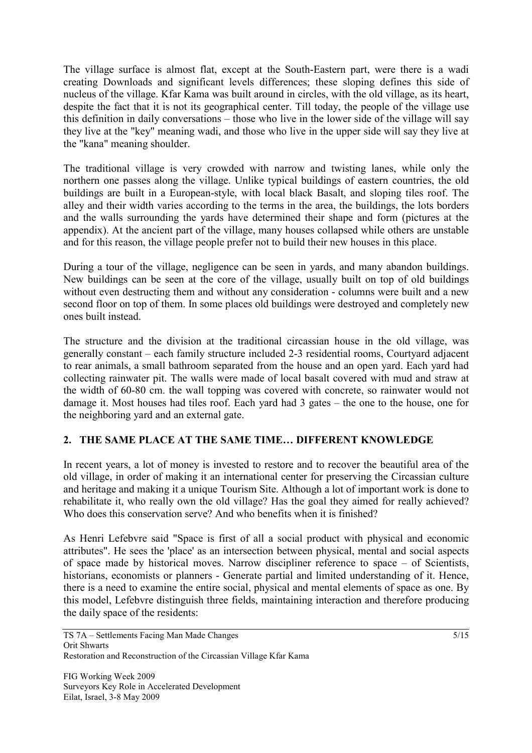The village surface is almost flat, except at the South-Eastern part, were there is a wadi creating Downloads and significant levels differences; these sloping defines this side of nucleus of the village. Kfar Kama was built around in circles, with the old village, as its heart, despite the fact that it is not its geographical center. Till today, the people of the village use this definition in daily conversations – those who live in the lower side of the village will say they live at the "key" meaning wadi, and those who live in the upper side will say they live at the "kana" meaning shoulder.

The traditional village is very crowded with narrow and twisting lanes, while only the northern one passes along the village. Unlike typical buildings of eastern countries, the old buildings are built in a European-style, with local black Basalt, and sloping tiles roof. The alley and their width varies according to the terms in the area, the buildings, the lots borders and the walls surrounding the yards have determined their shape and form (pictures at the appendix). At the ancient part of the village, many houses collapsed while others are unstable and for this reason, the village people prefer not to build their new houses in this place.

During a tour of the village, negligence can be seen in yards, and many abandon buildings. New buildings can be seen at the core of the village, usually built on top of old buildings without even destructing them and without any consideration - columns were built and a new second floor on top of them. In some places old buildings were destroyed and completely new ones built instead.

The structure and the division at the traditional circassian house in the old village, was generally constant – each family structure included 2-3 residential rooms, Courtyard adjacent to rear animals, a small bathroom separated from the house and an open yard. Each yard had collecting rainwater pit. The walls were made of local basalt covered with mud and straw at the width of 60-80 cm. the wall topping was covered with concrete, so rainwater would not damage it. Most houses had tiles roof. Each yard had 3 gates – the one to the house, one for the neighboring yard and an external gate.

# **2. THE SAME PLACE AT THE SAME TIME… DIFFERENT KNOWLEDGE**

In recent years, a lot of money is invested to restore and to recover the beautiful area of the old village, in order of making it an international center for preserving the Circassian culture and heritage and making it a unique Tourism Site. Although a lot of important work is done to rehabilitate it, who really own the old village? Has the goal they aimed for really achieved? Who does this conservation serve? And who benefits when it is finished?

As Henri Lefebvre said "Space is first of all a social product with physical and economic attributes". He sees the 'place' as an intersection between physical, mental and social aspects of space made by historical moves. Narrow discipliner reference to space – of Scientists, historians, economists or planners - Generate partial and limited understanding of it. Hence, there is a need to examine the entire social, physical and mental elements of space as one. By this model, Lefebvre distinguish three fields, maintaining interaction and therefore producing the daily space of the residents: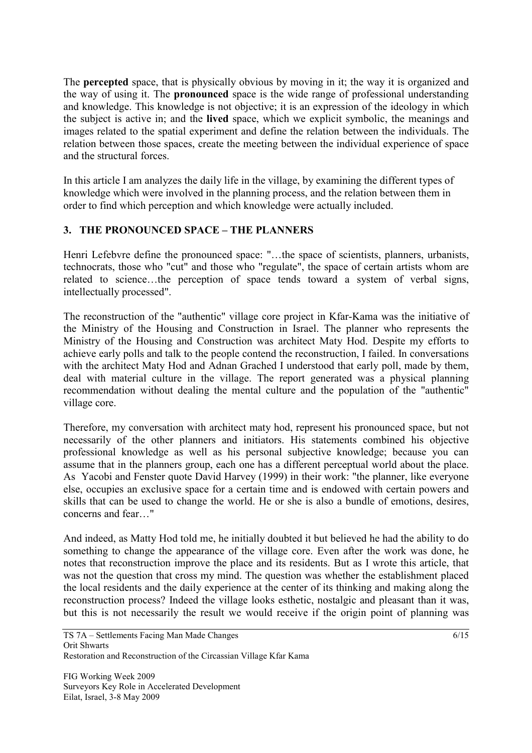The **percepted** space, that is physically obvious by moving in it; the way it is organized and the way of using it. The **pronounced** space is the wide range of professional understanding and knowledge. This knowledge is not objective; it is an expression of the ideology in which the subject is active in; and the **lived** space, which we explicit symbolic, the meanings and images related to the spatial experiment and define the relation between the individuals. The relation between those spaces, create the meeting between the individual experience of space and the structural forces.

In this article I am analyzes the daily life in the village, by examining the different types of knowledge which were involved in the planning process, and the relation between them in order to find which perception and which knowledge were actually included.

# **3. THE PRONOUNCED SPACE – THE PLANNERS**

Henri Lefebvre define the pronounced space: "…the space of scientists, planners, urbanists, technocrats, those who "cut" and those who "regulate", the space of certain artists whom are related to science…the perception of space tends toward a system of verbal signs, intellectually processed".

The reconstruction of the "authentic" village core project in Kfar-Kama was the initiative of the Ministry of the Housing and Construction in Israel. The planner who represents the Ministry of the Housing and Construction was architect Maty Hod. Despite my efforts to achieve early polls and talk to the people contend the reconstruction, I failed. In conversations with the architect Maty Hod and Adnan Grached I understood that early poll, made by them, deal with material culture in the village. The report generated was a physical planning recommendation without dealing the mental culture and the population of the "authentic" village core.

Therefore, my conversation with architect maty hod, represent his pronounced space, but not necessarily of the other planners and initiators. His statements combined his objective professional knowledge as well as his personal subjective knowledge; because you can assume that in the planners group, each one has a different perceptual world about the place. As Yacobi and Fenster quote David Harvey (1999) in their work: "the planner, like everyone else, occupies an exclusive space for a certain time and is endowed with certain powers and skills that can be used to change the world. He or she is also a bundle of emotions, desires, concerns and fear…"

And indeed, as Matty Hod told me, he initially doubted it but believed he had the ability to do something to change the appearance of the village core. Even after the work was done, he notes that reconstruction improve the place and its residents. But as I wrote this article, that was not the question that cross my mind. The question was whether the establishment placed the local residents and the daily experience at the center of its thinking and making along the reconstruction process? Indeed the village looks esthetic, nostalgic and pleasant than it was, but this is not necessarily the result we would receive if the origin point of planning was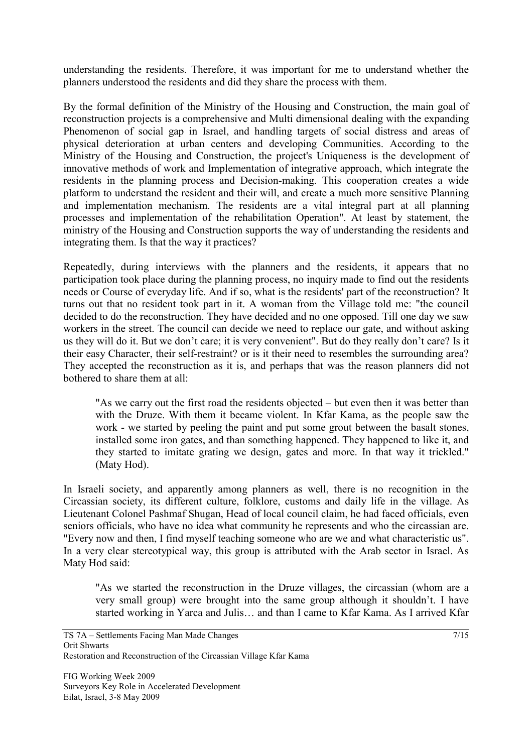understanding the residents. Therefore, it was important for me to understand whether the planners understood the residents and did they share the process with them.

By the formal definition of the Ministry of the Housing and Construction, the main goal of reconstruction projects is a comprehensive and Multi dimensional dealing with the expanding Phenomenon of social gap in Israel, and handling targets of social distress and areas of physical deterioration at urban centers and developing Communities. According to the Ministry of the Housing and Construction, the project's Uniqueness is the development of innovative methods of work and Implementation of integrative approach, which integrate the residents in the planning process and Decision-making. This cooperation creates a wide platform to understand the resident and their will, and create a much more sensitive Planning and implementation mechanism. The residents are a vital integral part at all planning processes and implementation of the rehabilitation Operation". At least by statement, the ministry of the Housing and Construction supports the way of understanding the residents and integrating them. Is that the way it practices?

Repeatedly, during interviews with the planners and the residents, it appears that no participation took place during the planning process, no inquiry made to find out the residents needs or Course of everyday life. And if so, what is the residents' part of the reconstruction? It turns out that no resident took part in it. A woman from the Village told me: "the council decided to do the reconstruction. They have decided and no one opposed. Till one day we saw workers in the street. The council can decide we need to replace our gate, and without asking us they will do it. But we don't care; it is very convenient". But do they really don't care? Is it their easy Character, their self-restraint? or is it their need to resembles the surrounding area? They accepted the reconstruction as it is, and perhaps that was the reason planners did not bothered to share them at all:

"As we carry out the first road the residents objected – but even then it was better than with the Druze. With them it became violent. In Kfar Kama, as the people saw the work - we started by peeling the paint and put some grout between the basalt stones, installed some iron gates, and than something happened. They happened to like it, and they started to imitate grating we design, gates and more. In that way it trickled." (Maty Hod).

In Israeli society, and apparently among planners as well, there is no recognition in the Circassian society, its different culture, folklore, customs and daily life in the village. As Lieutenant Colonel Pashmaf Shugan, Head of local council claim, he had faced officials, even seniors officials, who have no idea what community he represents and who the circassian are. "Every now and then, I find myself teaching someone who are we and what characteristic us". In a very clear stereotypical way, this group is attributed with the Arab sector in Israel. As Maty Hod said:

"As we started the reconstruction in the Druze villages, the circassian (whom are a very small group) were brought into the same group although it shouldn't. I have started working in Yarca and Julis… and than I came to Kfar Kama. As I arrived Kfar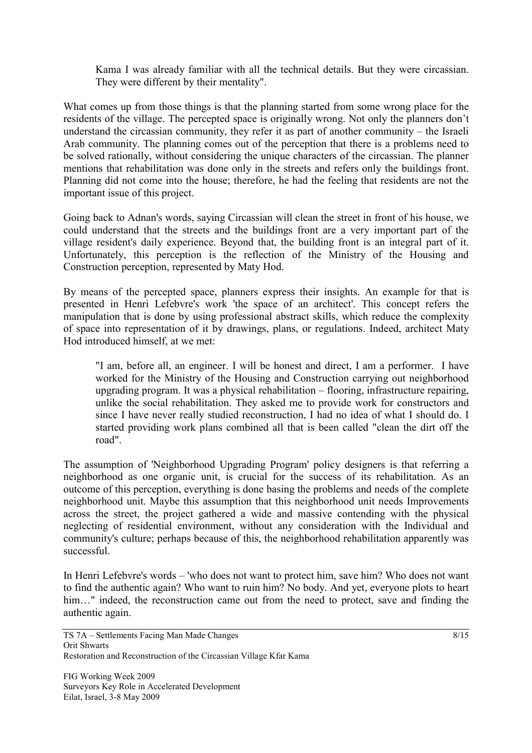Kama I was already familiar with all the technical details. But they were circassian. They were different by their mentality".

What comes up from those things is that the planning started from some wrong place for the residents of the village. The percepted space is originally wrong. Not only the planners don't understand the circassian community, they refer it as part of another community – the Israeli Arab community. The planning comes out of the perception that there is a problems need to be solved rationally, without considering the unique characters of the circassian. The planner mentions that rehabilitation was done only in the streets and refers only the buildings front. Planning did not come into the house; therefore, he had the feeling that residents are not the important issue of this project.

Going back to Adnan's words, saying Circassian will clean the street in front of his house, we could understand that the streets and the buildings front are a very important part of the village resident's daily experience. Beyond that, the building front is an integral part of it. Unfortunately, this perception is the reflection of the Ministry of the Housing and Construction perception, represented by Maty Hod.

By means of the percepted space, planners express their insights. An example for that is presented in Henri Lefebvre's work 'the space of an architect'. This concept refers the manipulation that is done by using professional abstract skills, which reduce the complexity of space into representation of it by drawings, plans, or regulations. Indeed, architect Maty Hod introduced himself, at we met:

"I am, before all, an engineer. I will be honest and direct, I am a performer. I have worked for the Ministry of the Housing and Construction carrying out neighborhood upgrading program. It was a physical rehabilitation – flooring, infrastructure repairing, unlike the social rehabilitation. They asked me to provide work for constructors and since I have never really studied reconstruction, I had no idea of what I should do. I started providing work plans combined all that is been called "clean the dirt off the road".

The assumption of 'Neighborhood Upgrading Program' policy designers is that referring a neighborhood as one organic unit, is crucial for the success of its rehabilitation. As an outcome of this perception, everything is done basing the problems and needs of the complete neighborhood unit. Maybe this assumption that this neighborhood unit needs Improvements across the street, the project gathered a wide and massive contending with the physical neglecting of residential environment, without any consideration with the Individual and community's culture; perhaps because of this, the neighborhood rehabilitation apparently was successful.

In Henri Lefebvre's words – 'who does not want to protect him, save him? Who does not want to find the authentic again? Who want to ruin him? No body. And yet, everyone plots to heart him..." indeed, the reconstruction came out from the need to protect, save and finding the authentic again.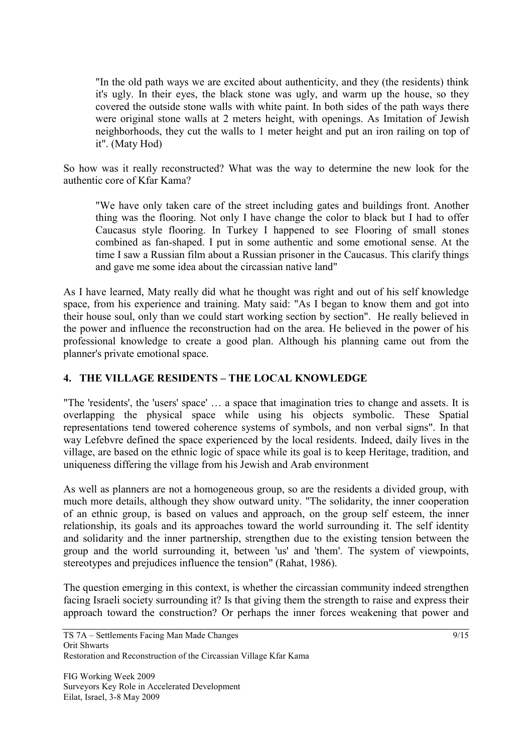"In the old path ways we are excited about authenticity, and they (the residents) think it's ugly. In their eyes, the black stone was ugly, and warm up the house, so they covered the outside stone walls with white paint. In both sides of the path ways there were original stone walls at 2 meters height, with openings. As Imitation of Jewish neighborhoods, they cut the walls to 1 meter height and put an iron railing on top of it". (Maty Hod)

So how was it really reconstructed? What was the way to determine the new look for the authentic core of Kfar Kama?

"We have only taken care of the street including gates and buildings front. Another thing was the flooring. Not only I have change the color to black but I had to offer Caucasus style flooring. In Turkey I happened to see Flooring of small stones combined as fan-shaped. I put in some authentic and some emotional sense. At the time I saw a Russian film about a Russian prisoner in the Caucasus. This clarify things and gave me some idea about the circassian native land"

As I have learned, Maty really did what he thought was right and out of his self knowledge space, from his experience and training. Maty said: "As I began to know them and got into their house soul, only than we could start working section by section". He really believed in the power and influence the reconstruction had on the area. He believed in the power of his professional knowledge to create a good plan. Although his planning came out from the planner's private emotional space.

## **4. THE VILLAGE RESIDENTS – THE LOCAL KNOWLEDGE**

"The 'residents', the 'users' space' … a space that imagination tries to change and assets. It is overlapping the physical space while using his objects symbolic. These Spatial representations tend towered coherence systems of symbols, and non verbal signs". In that way Lefebvre defined the space experienced by the local residents. Indeed, daily lives in the village, are based on the ethnic logic of space while its goal is to keep Heritage, tradition, and uniqueness differing the village from his Jewish and Arab environment

As well as planners are not a homogeneous group, so are the residents a divided group, with much more details, although they show outward unity. "The solidarity, the inner cooperation of an ethnic group, is based on values and approach, on the group self esteem, the inner relationship, its goals and its approaches toward the world surrounding it. The self identity and solidarity and the inner partnership, strengthen due to the existing tension between the group and the world surrounding it, between 'us' and 'them'. The system of viewpoints, stereotypes and prejudices influence the tension" (Rahat, 1986).

The question emerging in this context, is whether the circassian community indeed strengthen facing Israeli society surrounding it? Is that giving them the strength to raise and express their approach toward the construction? Or perhaps the inner forces weakening that power and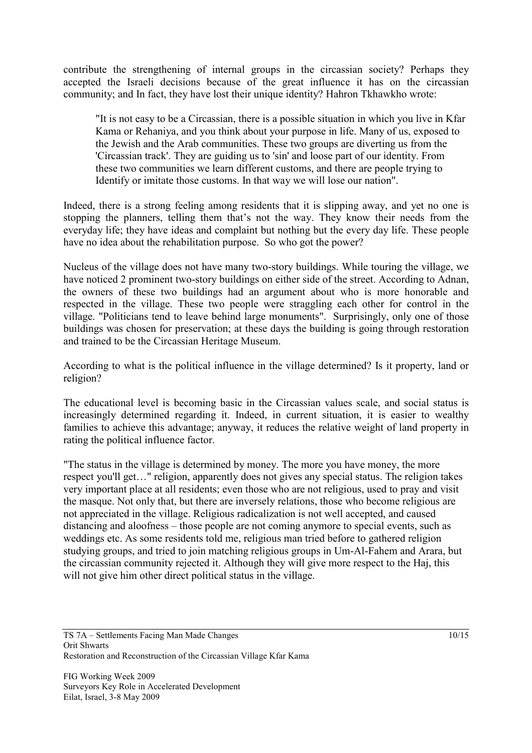contribute the strengthening of internal groups in the circassian society? Perhaps they accepted the Israeli decisions because of the great influence it has on the circassian community; and In fact, they have lost their unique identity? Hahron Tkhawkho wrote:

"It is not easy to be a Circassian, there is a possible situation in which you live in Kfar Kama or Rehaniya, and you think about your purpose in life. Many of us, exposed to the Jewish and the Arab communities. These two groups are diverting us from the 'Circassian track'. They are guiding us to 'sin' and loose part of our identity. From these two communities we learn different customs, and there are people trying to Identify or imitate those customs. In that way we will lose our nation".

Indeed, there is a strong feeling among residents that it is slipping away, and yet no one is stopping the planners, telling them that's not the way. They know their needs from the everyday life; they have ideas and complaint but nothing but the every day life. These people have no idea about the rehabilitation purpose. So who got the power?

Nucleus of the village does not have many two-story buildings. While touring the village, we have noticed 2 prominent two-story buildings on either side of the street. According to Adnan, the owners of these two buildings had an argument about who is more honorable and respected in the village. These two people were straggling each other for control in the village. "Politicians tend to leave behind large monuments". Surprisingly, only one of those buildings was chosen for preservation; at these days the building is going through restoration and trained to be the Circassian Heritage Museum.

According to what is the political influence in the village determined? Is it property, land or religion?

The educational level is becoming basic in the Circassian values scale, and social status is increasingly determined regarding it. Indeed, in current situation, it is easier to wealthy families to achieve this advantage; anyway, it reduces the relative weight of land property in rating the political influence factor.

"The status in the village is determined by money. The more you have money, the more respect you'll get…" religion, apparently does not gives any special status. The religion takes very important place at all residents; even those who are not religious, used to pray and visit the masque. Not only that, but there are inversely relations, those who become religious are not appreciated in the village. Religious radicalization is not well accepted, and caused distancing and aloofness – those people are not coming anymore to special events, such as weddings etc. As some residents told me, religious man tried before to gathered religion studying groups, and tried to join matching religious groups in Um-Al-Fahem and Arara, but the circassian community rejected it. Although they will give more respect to the Haj, this will not give him other direct political status in the village.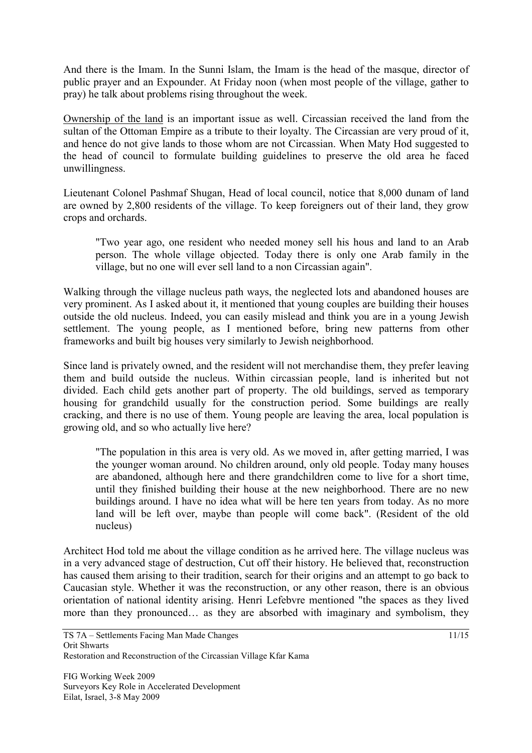And there is the Imam. In the Sunni Islam, the Imam is the head of the masque, director of public prayer and an Expounder. At Friday noon (when most people of the village, gather to pray) he talk about problems rising throughout the week.

Ownership of the land is an important issue as well. Circassian received the land from the sultan of the Ottoman Empire as a tribute to their loyalty. The Circassian are very proud of it, and hence do not give lands to those whom are not Circassian. When Maty Hod suggested to the head of council to formulate building guidelines to preserve the old area he faced unwillingness.

Lieutenant Colonel Pashmaf Shugan, Head of local council, notice that 8,000 dunam of land are owned by 2,800 residents of the village. To keep foreigners out of their land, they grow crops and orchards.

"Two year ago, one resident who needed money sell his hous and land to an Arab person. The whole village objected. Today there is only one Arab family in the village, but no one will ever sell land to a non Circassian again".

Walking through the village nucleus path ways, the neglected lots and abandoned houses are very prominent. As I asked about it, it mentioned that young couples are building their houses outside the old nucleus. Indeed, you can easily mislead and think you are in a young Jewish settlement. The young people, as I mentioned before, bring new patterns from other frameworks and built big houses very similarly to Jewish neighborhood.

Since land is privately owned, and the resident will not merchandise them, they prefer leaving them and build outside the nucleus. Within circassian people, land is inherited but not divided. Each child gets another part of property. The old buildings, served as temporary housing for grandchild usually for the construction period. Some buildings are really cracking, and there is no use of them. Young people are leaving the area, local population is growing old, and so who actually live here?

"The population in this area is very old. As we moved in, after getting married, I was the younger woman around. No children around, only old people. Today many houses are abandoned, although here and there grandchildren come to live for a short time, until they finished building their house at the new neighborhood. There are no new buildings around. I have no idea what will be here ten years from today. As no more land will be left over, maybe than people will come back". (Resident of the old nucleus)

Architect Hod told me about the village condition as he arrived here. The village nucleus was in a very advanced stage of destruction, Cut off their history. He believed that, reconstruction has caused them arising to their tradition, search for their origins and an attempt to go back to Caucasian style. Whether it was the reconstruction, or any other reason, there is an obvious orientation of national identity arising. Henri Lefebvre mentioned "the spaces as they lived more than they pronounced… as they are absorbed with imaginary and symbolism, they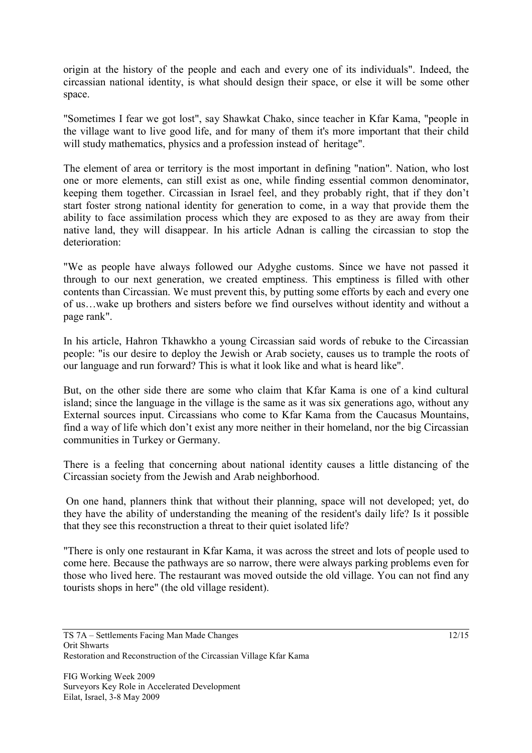origin at the history of the people and each and every one of its individuals". Indeed, the circassian national identity, is what should design their space, or else it will be some other space.

"Sometimes I fear we got lost", say Shawkat Chako, since teacher in Kfar Kama, "people in the village want to live good life, and for many of them it's more important that their child will study mathematics, physics and a profession instead of heritage".

The element of area or territory is the most important in defining "nation". Nation, who lost one or more elements, can still exist as one, while finding essential common denominator, keeping them together. Circassian in Israel feel, and they probably right, that if they don't start foster strong national identity for generation to come, in a way that provide them the ability to face assimilation process which they are exposed to as they are away from their native land, they will disappear. In his article Adnan is calling the circassian to stop the deterioration:

"We as people have always followed our Adyghe customs. Since we have not passed it through to our next generation, we created emptiness. This emptiness is filled with other contents than Circassian. We must prevent this, by putting some efforts by each and every one of us…wake up brothers and sisters before we find ourselves without identity and without a page rank".

In his article, Hahron Tkhawkho a young Circassian said words of rebuke to the Circassian people: "is our desire to deploy the Jewish or Arab society, causes us to trample the roots of our language and run forward? This is what it look like and what is heard like".

But, on the other side there are some who claim that Kfar Kama is one of a kind cultural island; since the language in the village is the same as it was six generations ago, without any External sources input. Circassians who come to Kfar Kama from the Caucasus Mountains, find a way of life which don't exist any more neither in their homeland, nor the big Circassian communities in Turkey or Germany.

There is a feeling that concerning about national identity causes a little distancing of the Circassian society from the Jewish and Arab neighborhood.

 On one hand, planners think that without their planning, space will not developed; yet, do they have the ability of understanding the meaning of the resident's daily life? Is it possible that they see this reconstruction a threat to their quiet isolated life?

"There is only one restaurant in Kfar Kama, it was across the street and lots of people used to come here. Because the pathways are so narrow, there were always parking problems even for those who lived here. The restaurant was moved outside the old village. You can not find any tourists shops in here" (the old village resident).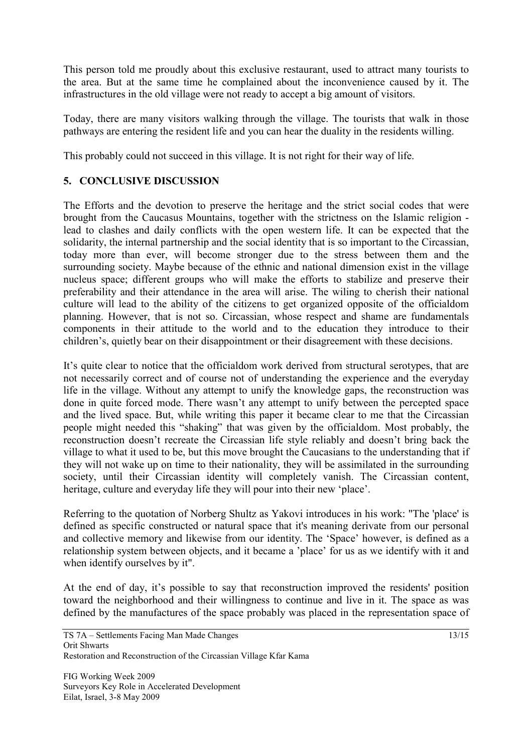This person told me proudly about this exclusive restaurant, used to attract many tourists to the area. But at the same time he complained about the inconvenience caused by it. The infrastructures in the old village were not ready to accept a big amount of visitors.

Today, there are many visitors walking through the village. The tourists that walk in those pathways are entering the resident life and you can hear the duality in the residents willing.

This probably could not succeed in this village. It is not right for their way of life.

## **5. CONCLUSIVE DISCUSSION**

The Efforts and the devotion to preserve the heritage and the strict social codes that were brought from the Caucasus Mountains, together with the strictness on the Islamic religion lead to clashes and daily conflicts with the open western life. It can be expected that the solidarity, the internal partnership and the social identity that is so important to the Circassian, today more than ever, will become stronger due to the stress between them and the surrounding society. Maybe because of the ethnic and national dimension exist in the village nucleus space; different groups who will make the efforts to stabilize and preserve their preferability and their attendance in the area will arise. The wiling to cherish their national culture will lead to the ability of the citizens to get organized opposite of the officialdom planning. However, that is not so. Circassian, whose respect and shame are fundamentals components in their attitude to the world and to the education they introduce to their children's, quietly bear on their disappointment or their disagreement with these decisions.

It's quite clear to notice that the officialdom work derived from structural serotypes, that are not necessarily correct and of course not of understanding the experience and the everyday life in the village. Without any attempt to unify the knowledge gaps, the reconstruction was done in quite forced mode. There wasn't any attempt to unify between the percepted space and the lived space. But, while writing this paper it became clear to me that the Circassian people might needed this "shaking" that was given by the officialdom. Most probably, the reconstruction doesn't recreate the Circassian life style reliably and doesn't bring back the village to what it used to be, but this move brought the Caucasians to the understanding that if they will not wake up on time to their nationality, they will be assimilated in the surrounding society, until their Circassian identity will completely vanish. The Circassian content, heritage, culture and everyday life they will pour into their new 'place'.

Referring to the quotation of Norberg Shultz as Yakovi introduces in his work: "The 'place' is defined as specific constructed or natural space that it's meaning derivate from our personal and collective memory and likewise from our identity. The 'Space' however, is defined as a relationship system between objects, and it became a 'place' for us as we identify with it and when identify ourselves by it".

At the end of day, it's possible to say that reconstruction improved the residents' position toward the neighborhood and their willingness to continue and live in it. The space as was defined by the manufactures of the space probably was placed in the representation space of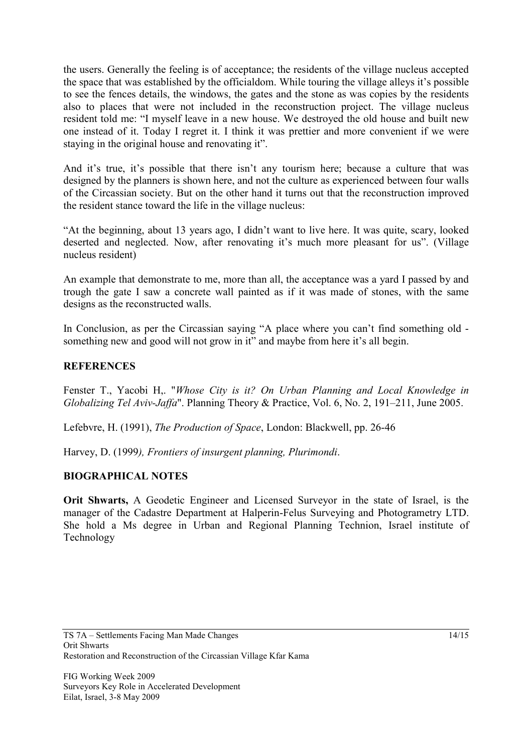the users. Generally the feeling is of acceptance; the residents of the village nucleus accepted the space that was established by the officialdom. While touring the village alleys it's possible to see the fences details, the windows, the gates and the stone as was copies by the residents also to places that were not included in the reconstruction project. The village nucleus resident told me: "I myself leave in a new house. We destroyed the old house and built new one instead of it. Today I regret it. I think it was prettier and more convenient if we were staying in the original house and renovating it".

And it's true, it's possible that there isn't any tourism here; because a culture that was designed by the planners is shown here, and not the culture as experienced between four walls of the Circassian society. But on the other hand it turns out that the reconstruction improved the resident stance toward the life in the village nucleus:

"At the beginning, about 13 years ago, I didn't want to live here. It was quite, scary, looked deserted and neglected. Now, after renovating it's much more pleasant for us". (Village nucleus resident)

An example that demonstrate to me, more than all, the acceptance was a yard I passed by and trough the gate I saw a concrete wall painted as if it was made of stones, with the same designs as the reconstructed walls.

In Conclusion, as per the Circassian saying "A place where you can't find something old something new and good will not grow in it" and maybe from here it's all begin.

#### **REFERENCES**

Fenster T., Yacobi H,. "*Whose City is it? On Urban Planning and Local Knowledge in Globalizing Tel Aviv-Jaffa*". Planning Theory & Practice, Vol. 6, No. 2, 191–211, June 2005.

Lefebvre, H. (1991), *The Production of Space*, London: Blackwell, pp. 26-46

Harvey, D. (1999*), Frontiers of insurgent planning, Plurimondi*.

#### **BIOGRAPHICAL NOTES**

**Orit Shwarts,** A Geodetic Engineer and Licensed Surveyor in the state of Israel, is the manager of the Cadastre Department at Halperin-Felus Surveying and Photogrametry LTD. She hold a Ms degree in Urban and Regional Planning Technion, Israel institute of Technology